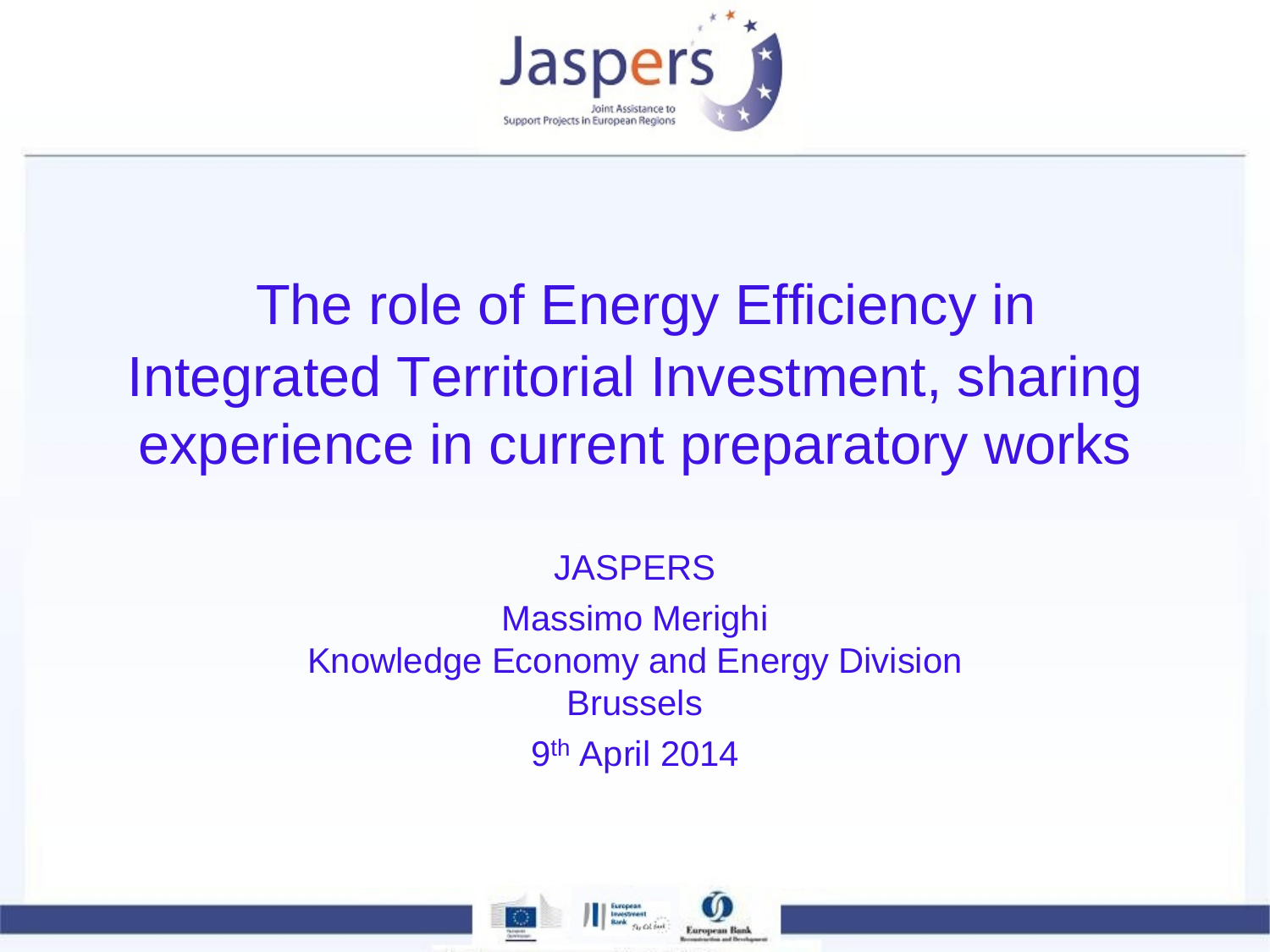

# The role of Energy Efficiency in Integrated Territorial Investment, sharing experience in current preparatory works

#### **JASPERS**

#### Massimo Merighi Knowledge Economy and Energy Division Brussels 9<sup>th</sup> April 2014



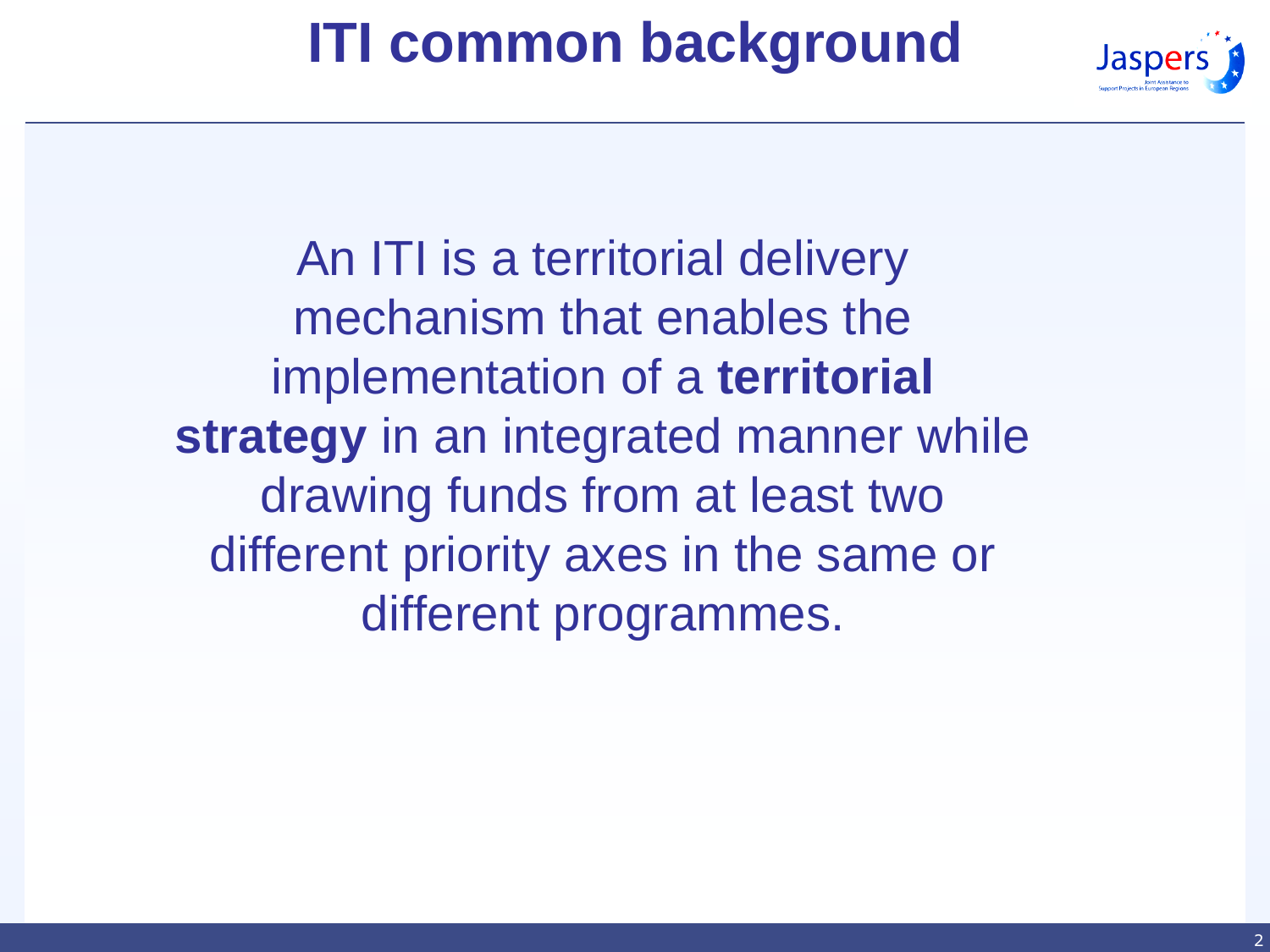# **ITI common background**



An ITI is a territorial delivery mechanism that enables the implementation of a **territorial strategy** in an integrated manner while drawing funds from at least two different priority axes in the same or different programmes.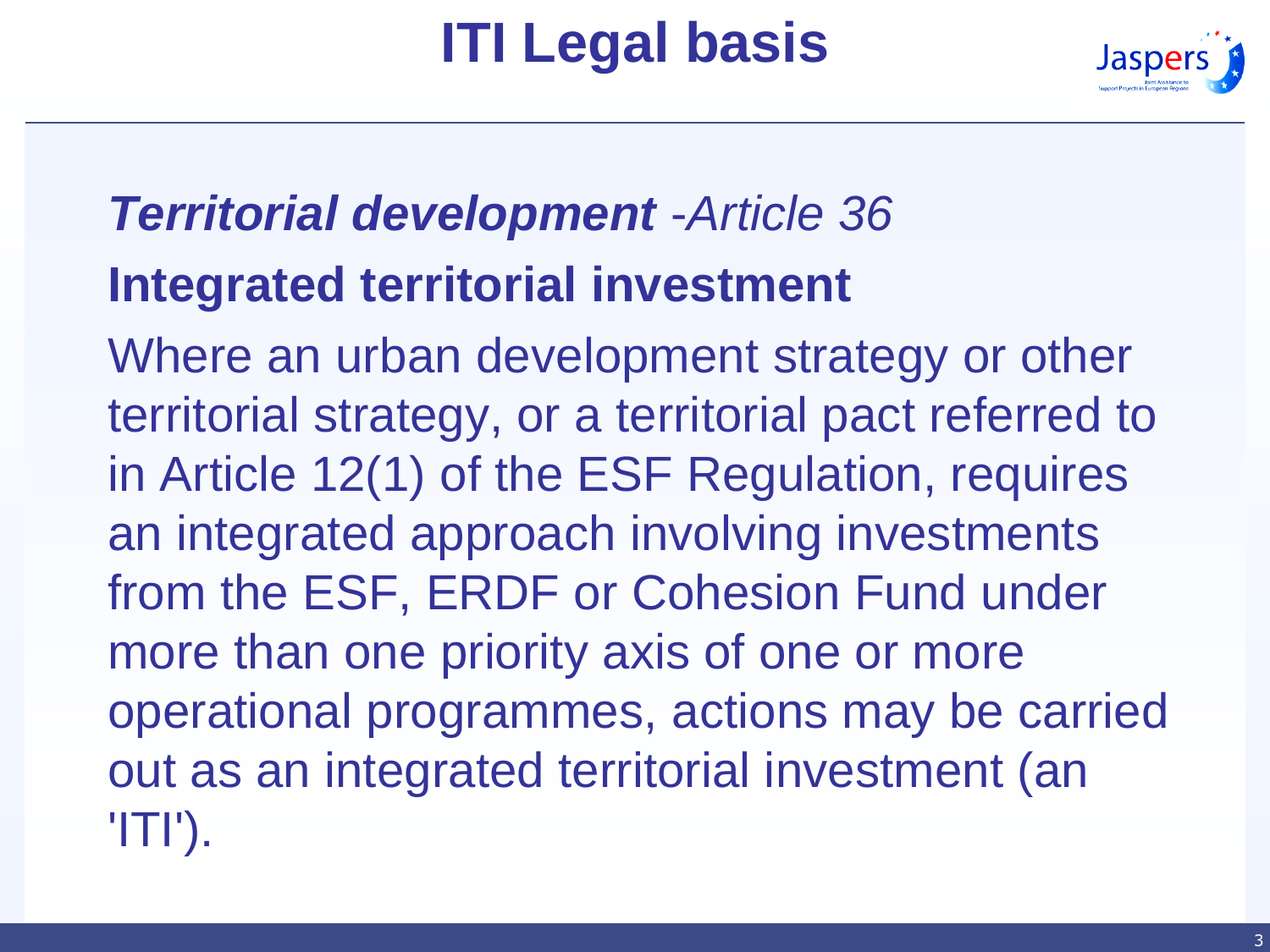# **ITI Legal basis**



### *Territorial development* -*Article 36*  **Integrated territorial investment**

Where an urban development strategy or other territorial strategy, or a territorial pact referred to in Article 12(1) of the ESF Regulation, requires an integrated approach involving investments from the ESF, ERDF or Cohesion Fund under more than one priority axis of one or more operational programmes, actions may be carried out as an integrated territorial investment (an 'ITI').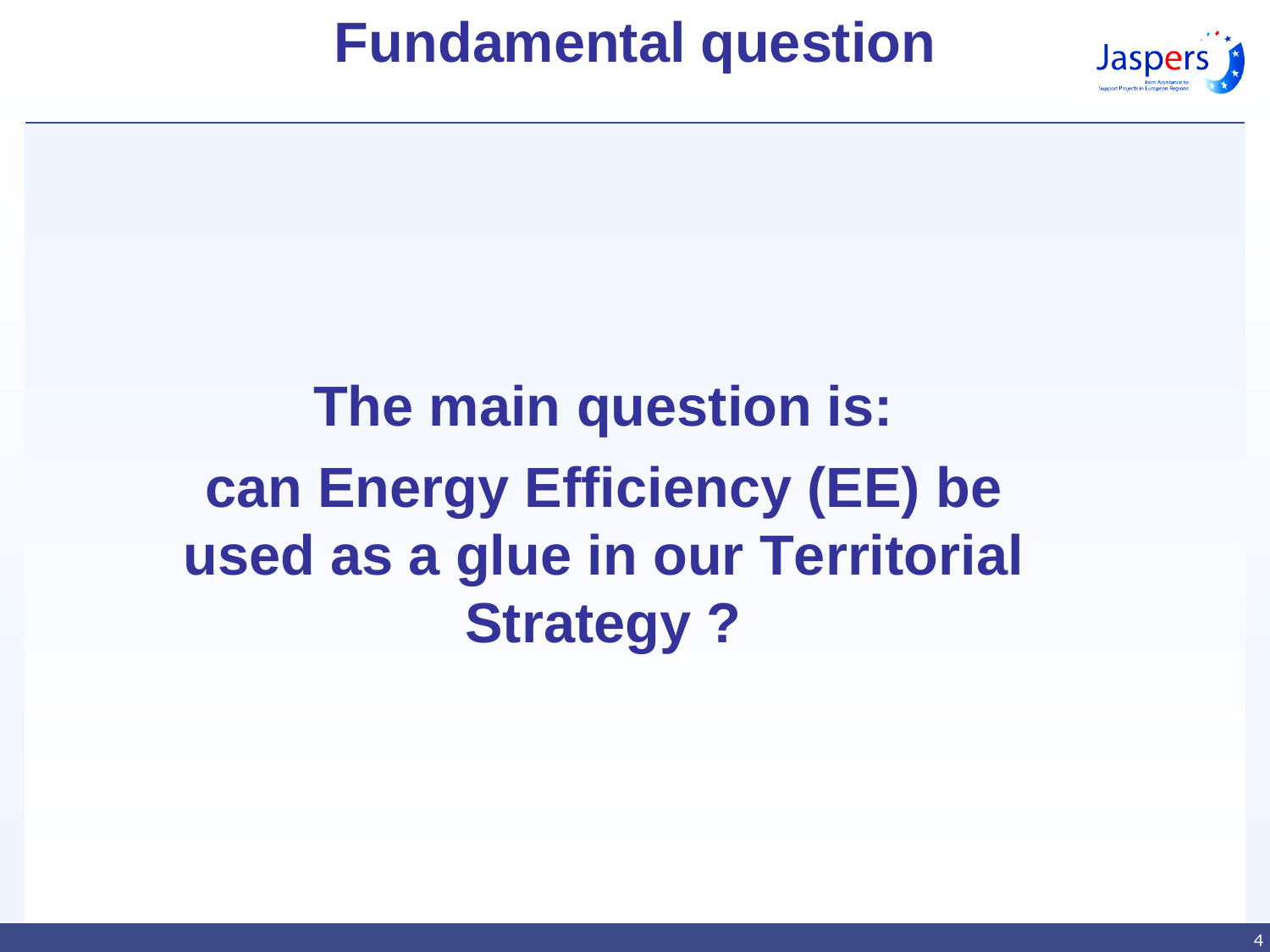#### **Fundamental question**



# **The main question is: can Energy Efficiency (EE) be used as a glue in our Territorial Strategy ?**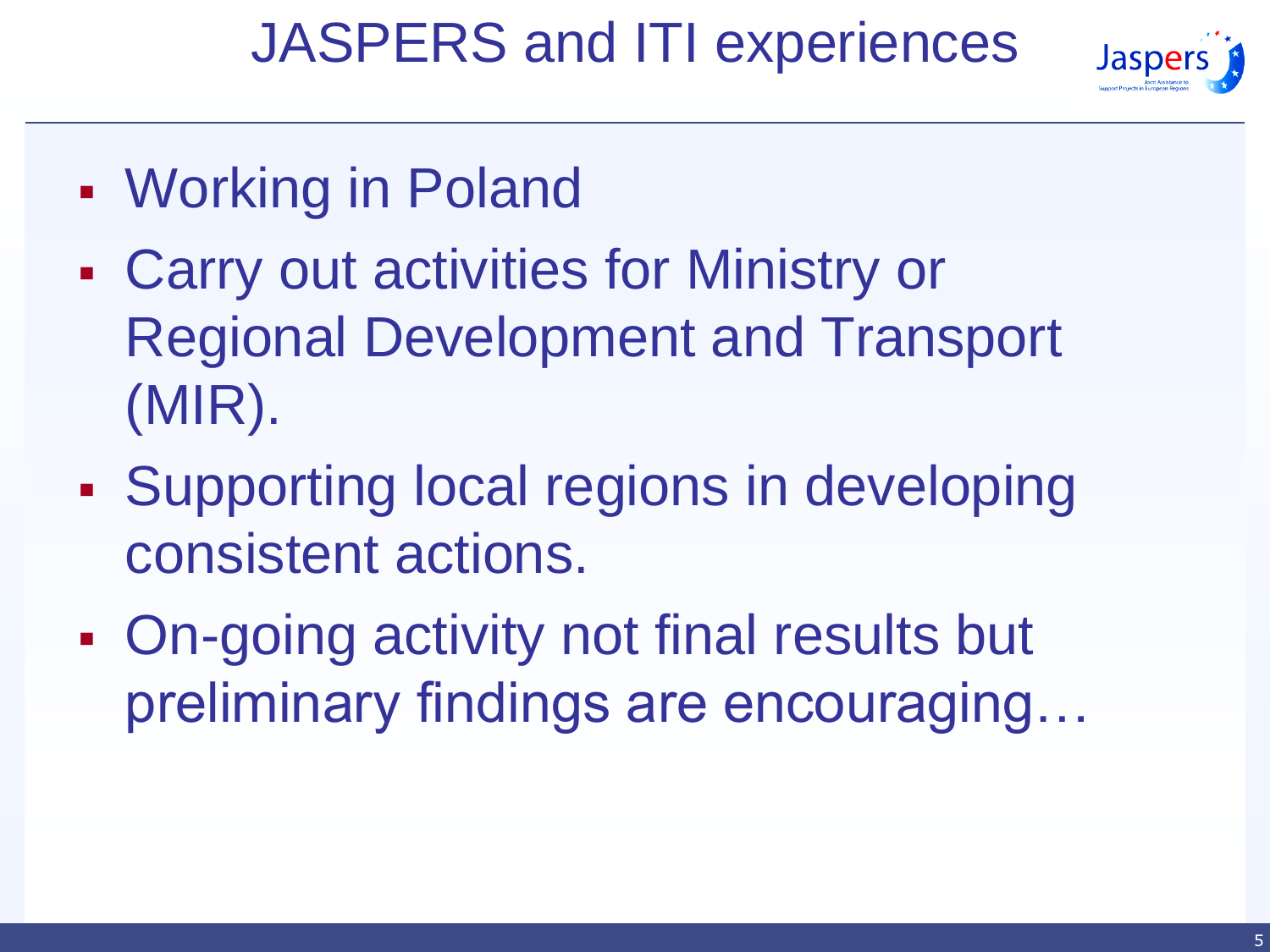## JASPERS and ITI experiences



- Working in Poland
- Carry out activities for Ministry or Regional Development and Transport (MIR).
- **Supporting local regions in developing** consistent actions.
- On-going activity not final results but preliminary findings are encouraging…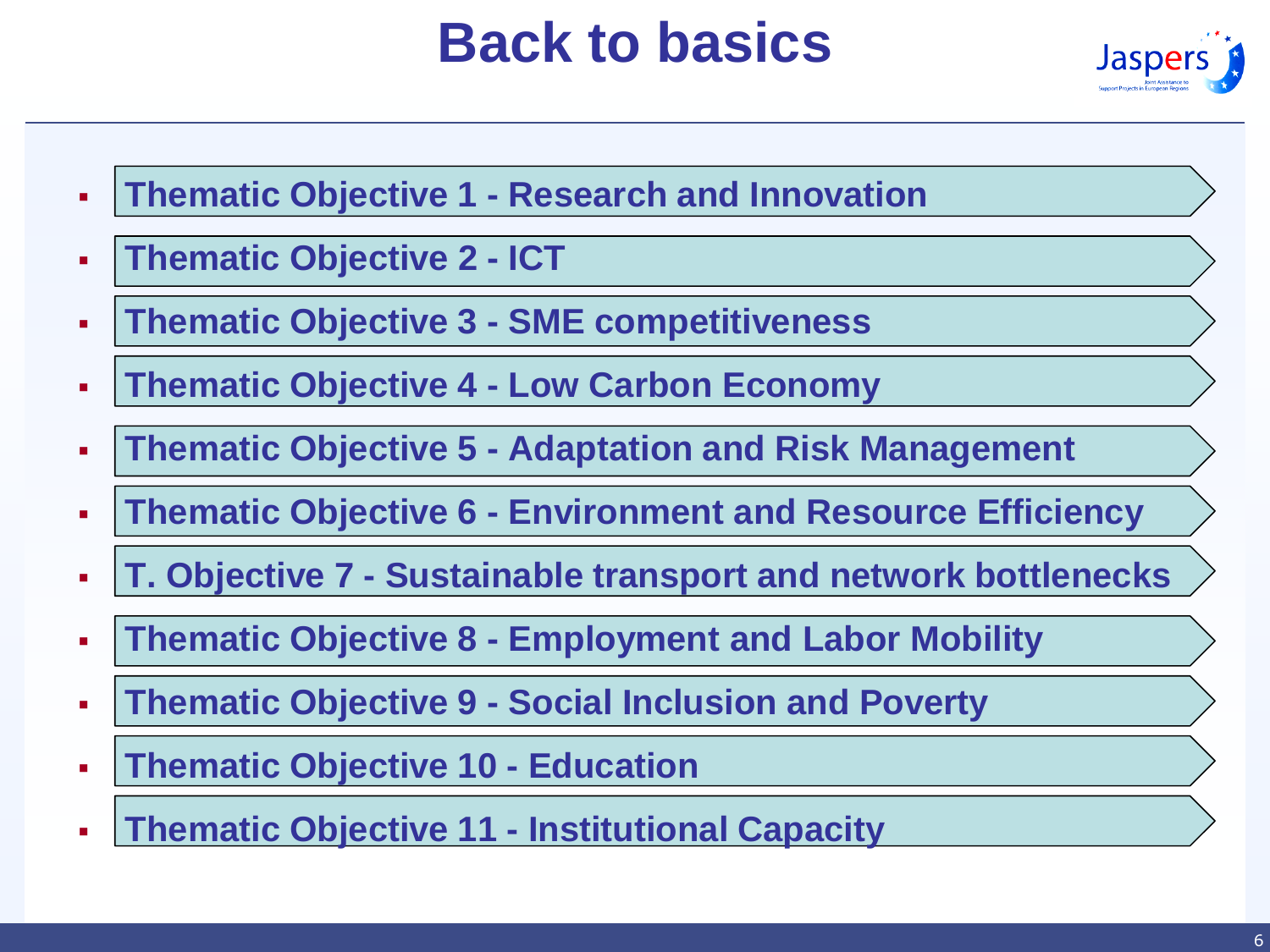# **Back to basics**



- **Thematic Objective 1 - Research and Innovation**
- **Thematic Objective 2 - ICT**
- **Thematic Objective 3 - SME competitiveness**
- **Thematic Objective 4 - Low Carbon Economy**
- **Thematic Objective 5 - Adaptation and Risk Management**
- **Thematic Objective 6 - Environment and Resource Efficiency**
- **T. Objective 7 - Sustainable transport and network bottlenecks**
- **Thematic Objective 8 - Employment and Labor Mobility**
- **Thematic Objective 9 - Social Inclusion and Poverty**
- **Thematic Objective 10 - Education**
- **Thematic Objective 11 - Institutional Capacity**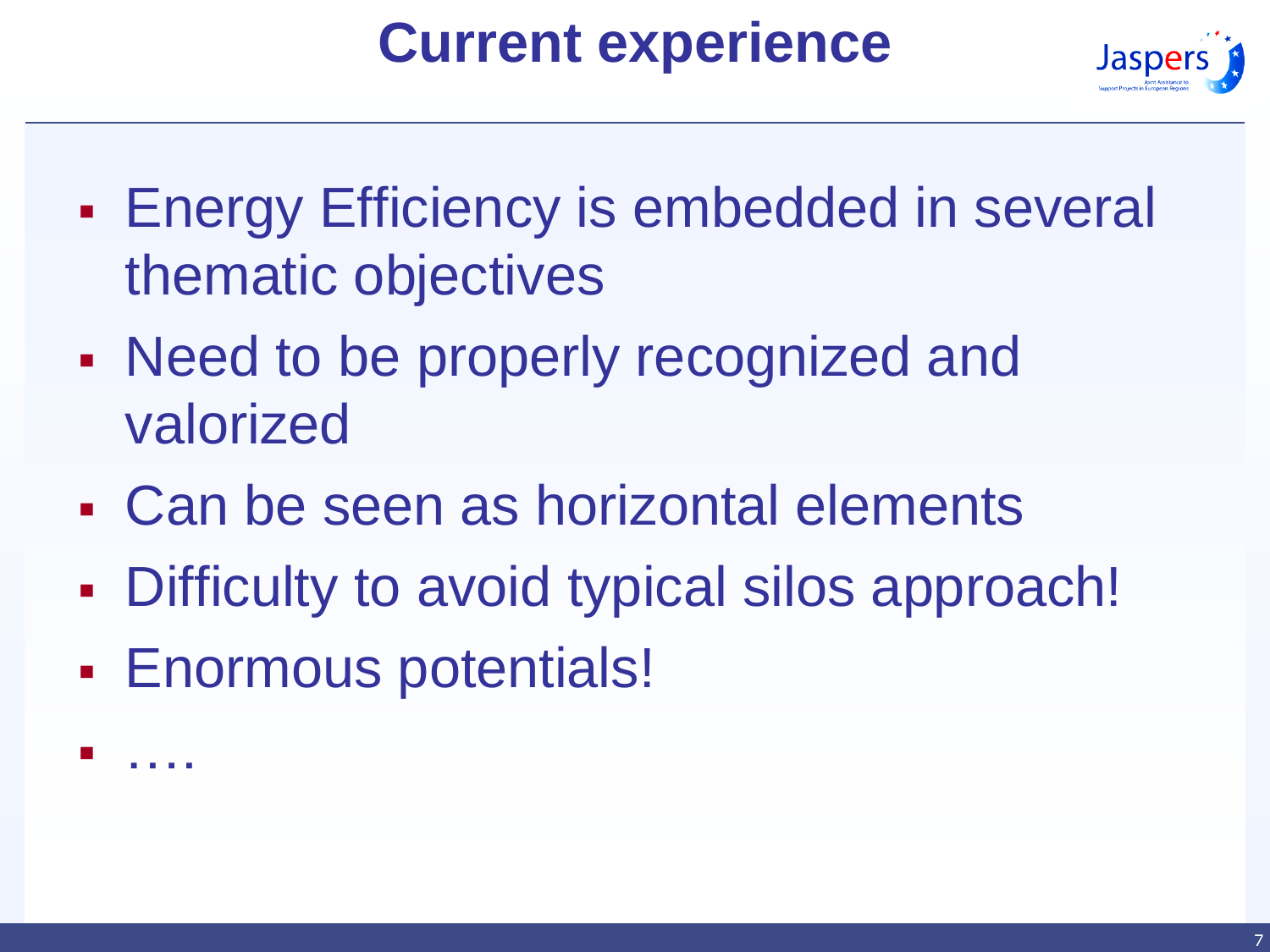# **Current experience**



- **Energy Efficiency is embedded in several** thematic objectives
- Need to be properly recognized and valorized
- Can be seen as horizontal elements
- Difficulty to avoid typical silos approach!
- Enormous potentials!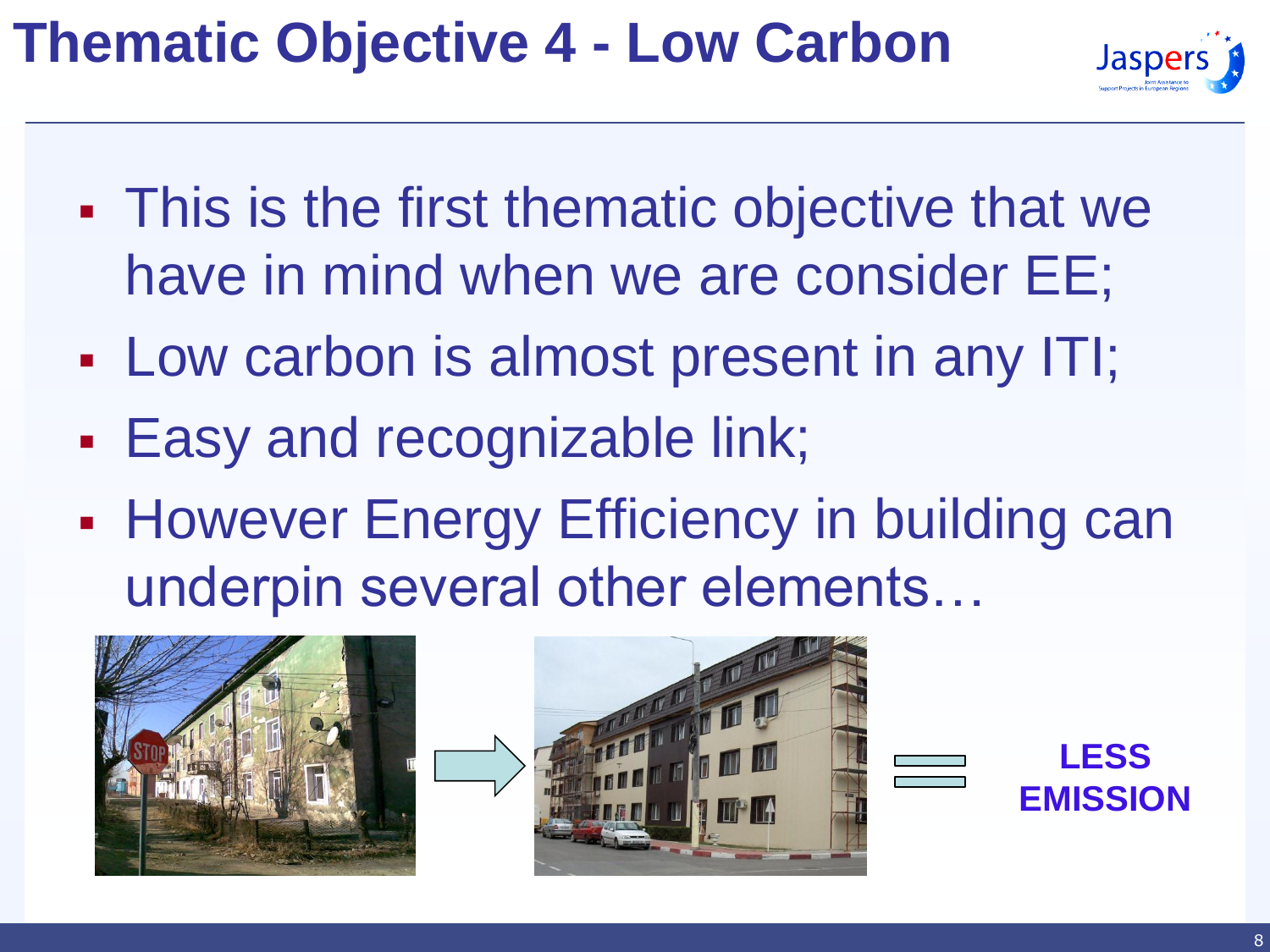# **Thematic Objective 4 - Low Carbon**



- This is the first thematic objective that we have in mind when we are consider EE;
- Low carbon is almost present in any ITI;
- **Easy and recognizable link;**
- **However Energy Efficiency in building can** underpin several other elements…





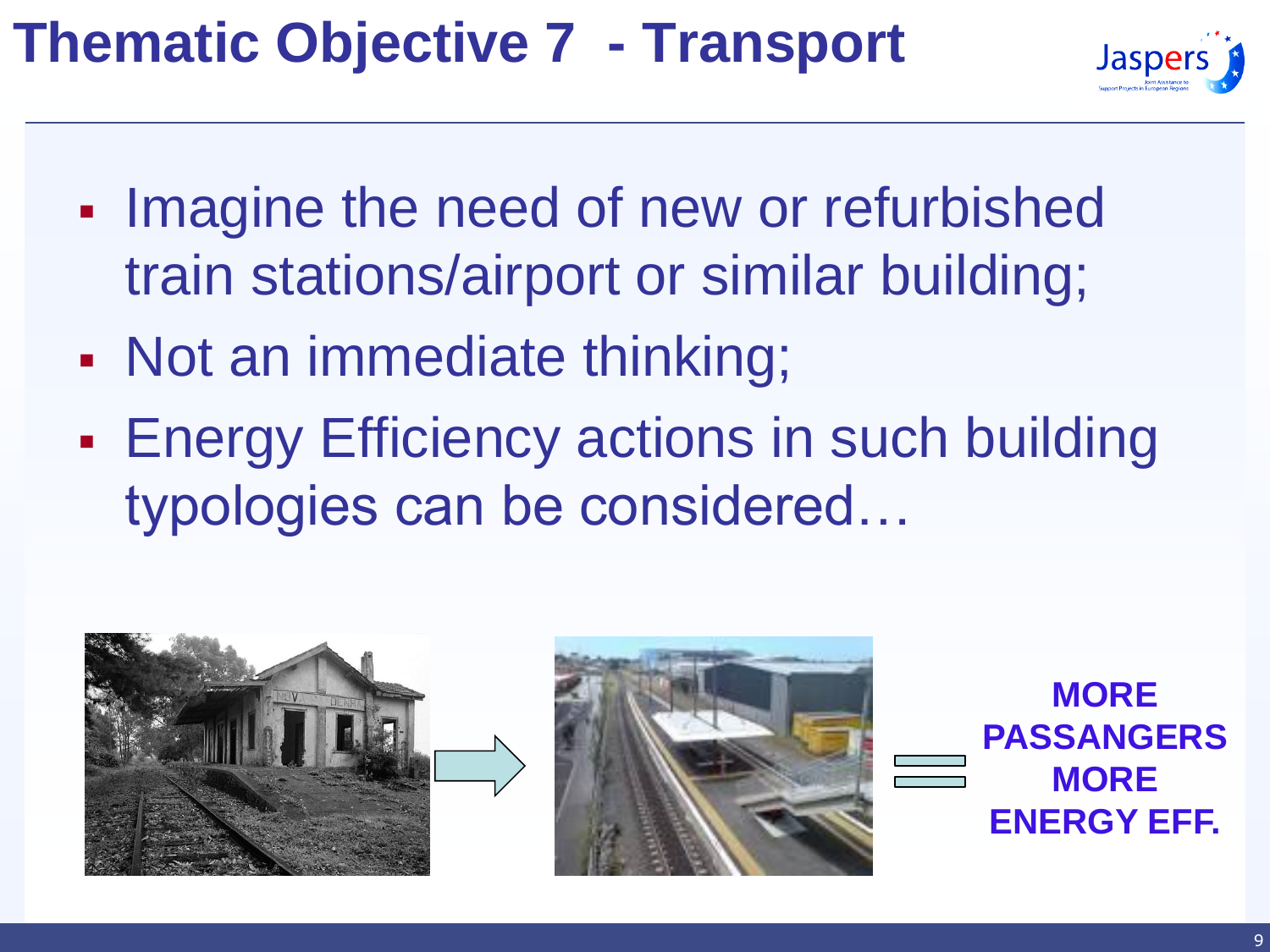# **Thematic Objective 7 - Transport**



- **Imagine the need of new or refurbished** train stations/airport or similar building;
- Not an immediate thinking;
- **Energy Efficiency actions in such building** typologies can be considered…



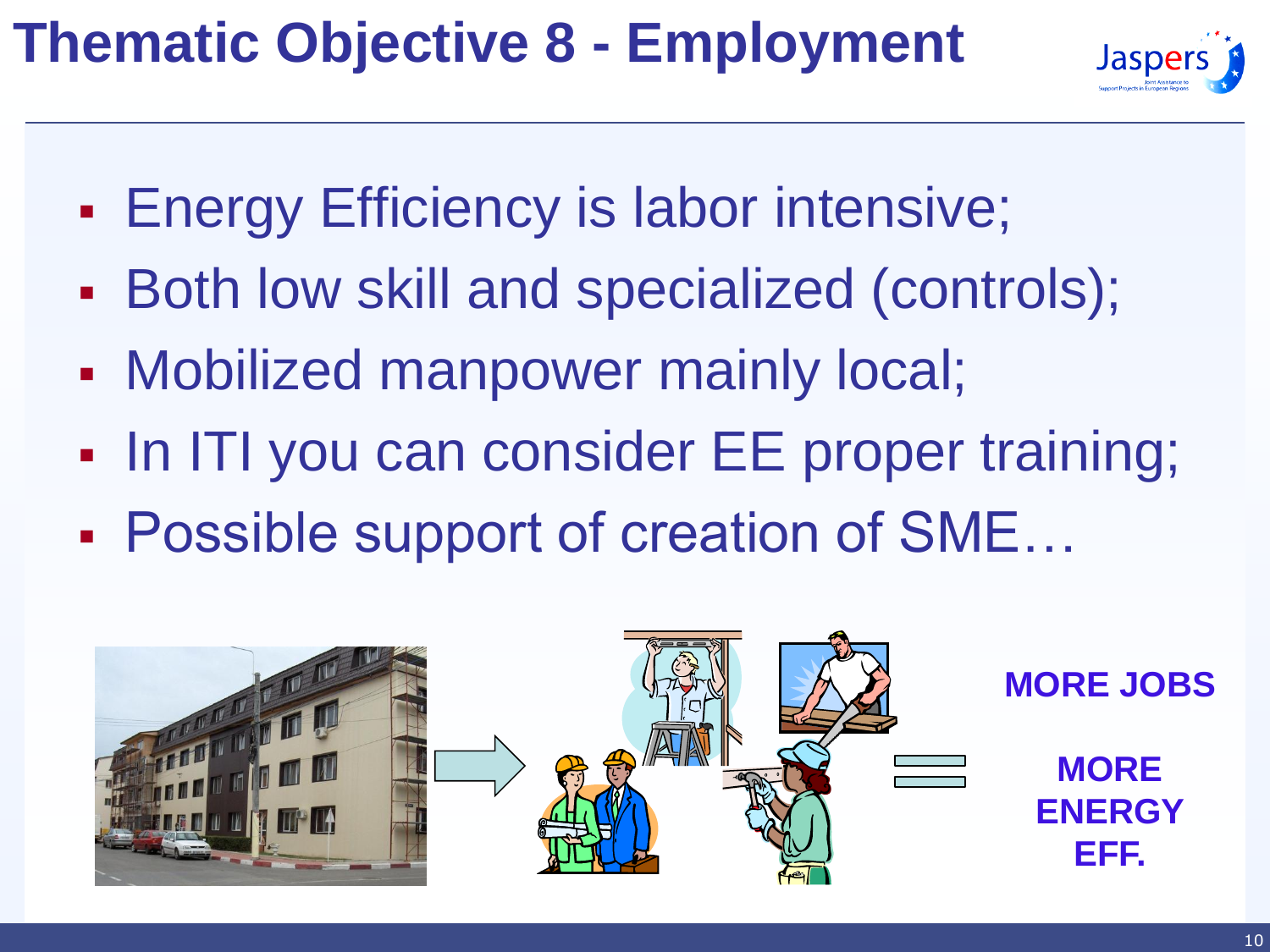# **Thematic Objective 8 - Employment**



- **Energy Efficiency is labor intensive;**
- Both low skill and specialized (controls);
- Mobilized manpower mainly local;
- In ITI you can consider EE proper training;
- Possible support of creation of SME…

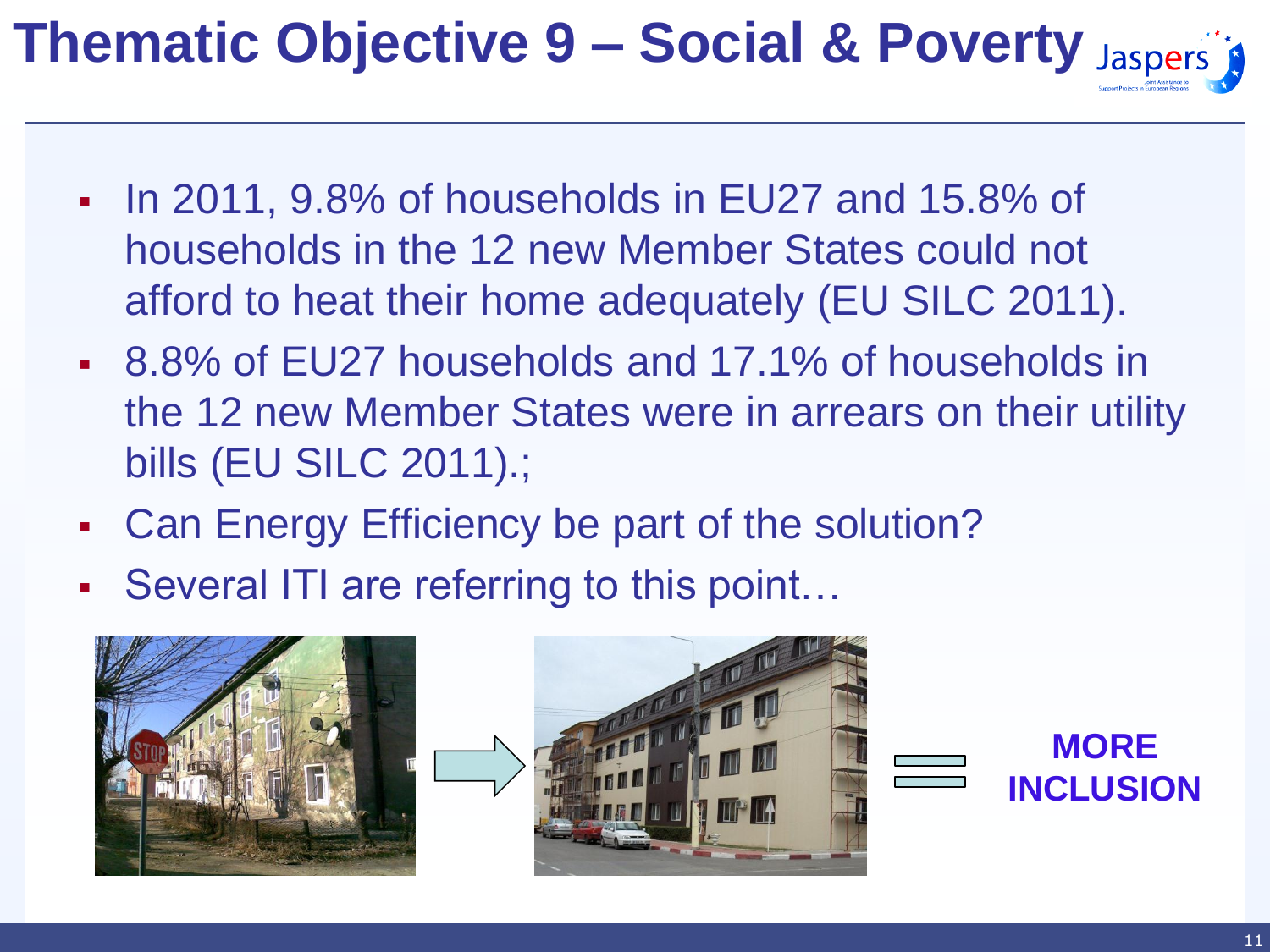# **Thematic Objective 9 – Social & Poverty**

- In 2011, 9.8% of households in EU27 and 15.8% of households in the 12 new Member States could not afford to heat their home adequately (EU SILC 2011).
- 8.8% of EU27 households and 17.1% of households in the 12 new Member States were in arrears on their utility bills (EU SILC 2011).;
- Can Energy Efficiency be part of the solution?
- Several ITI are referring to this point…





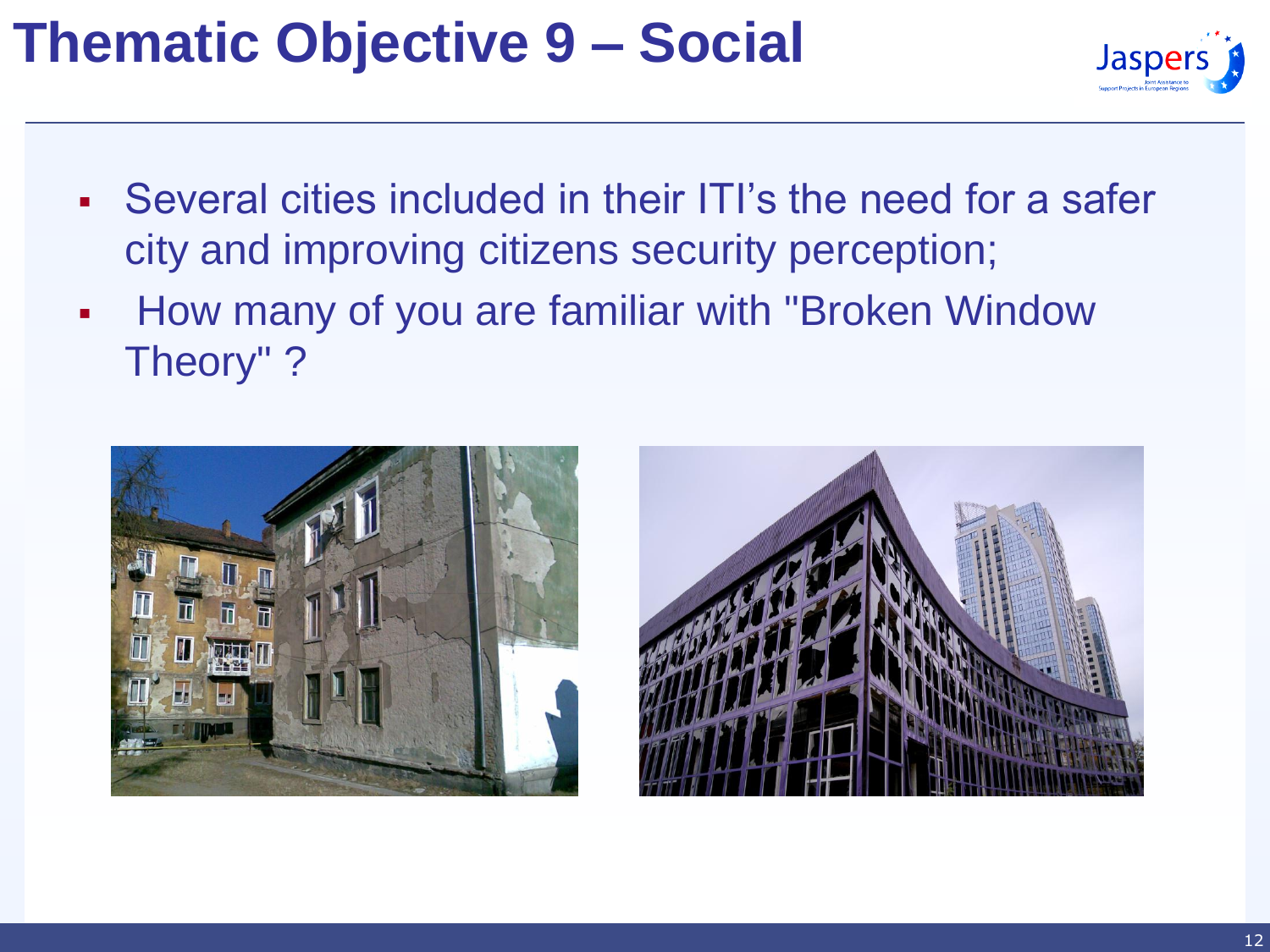#### **Thematic Objective 9 – Social**



- Several cities included in their ITI's the need for a safer city and improving citizens security perception;
- **How many of you are familiar with "Broken Window"** Theory" ?



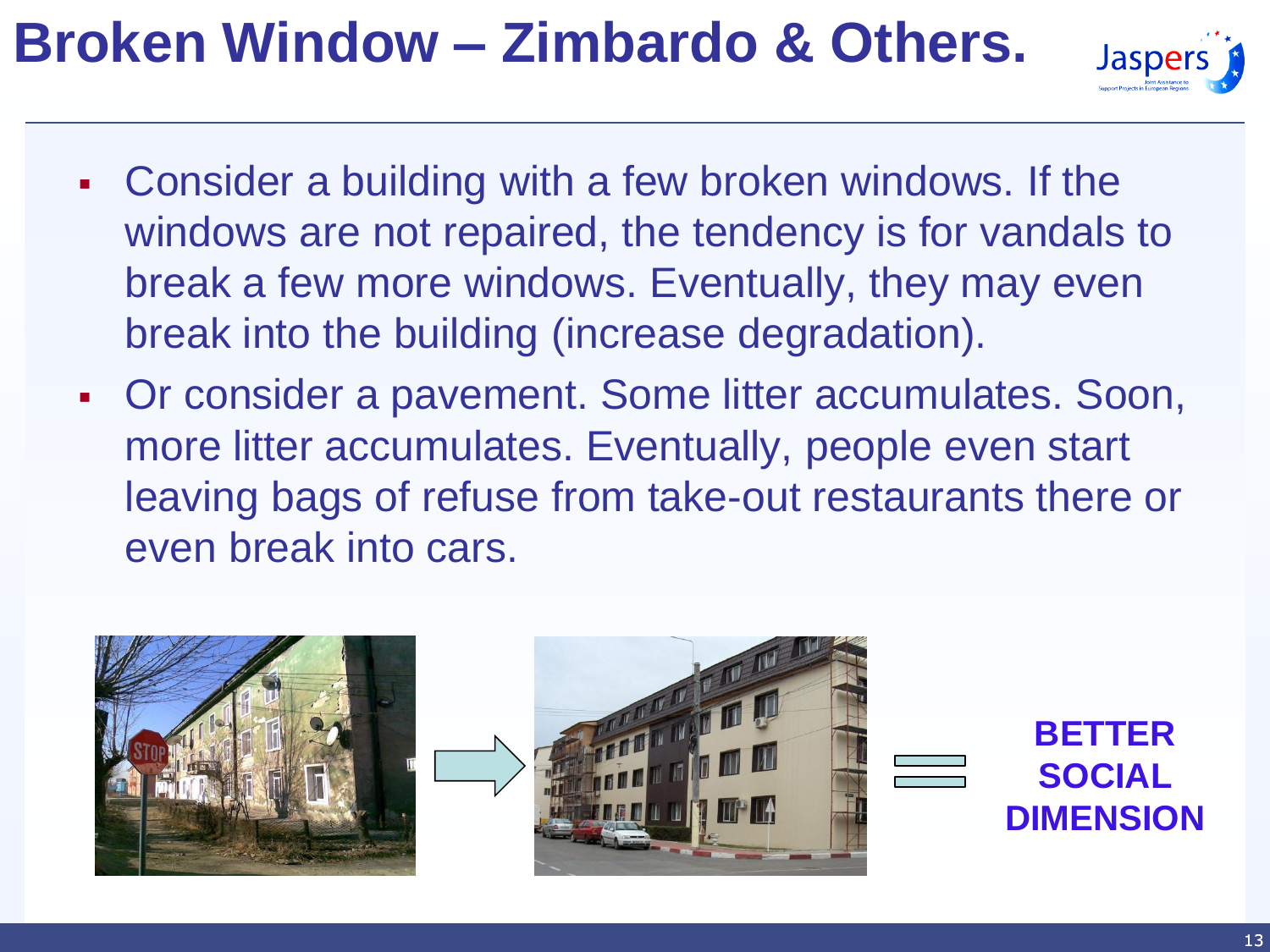# **Broken Window – Zimbardo & Others.**



- Consider a building with a few broken windows. If the windows are not repaired, the tendency is for vandals to break a few more windows. Eventually, they may even break into the building (increase degradation).
- Or consider a pavement. Some litter accumulates. Soon, more litter accumulates. Eventually, people even start leaving bags of refuse from take-out restaurants there or even break into cars.

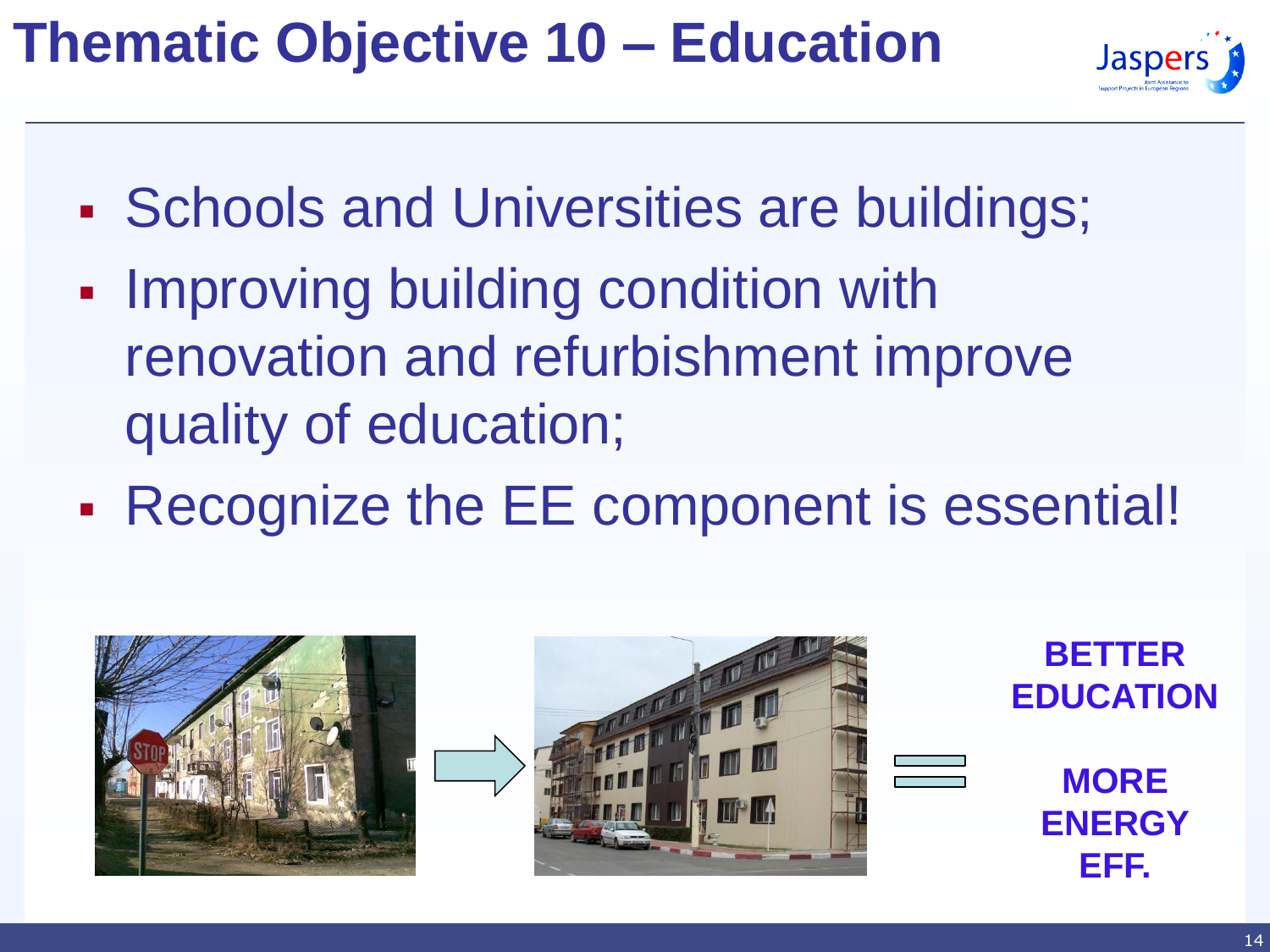# **Thematic Objective 10 – Education**



- **Schools and Universities are buildings;**
- **Improving building condition with** renovation and refurbishment improve quality of education;
- Recognize the EE component is essential!

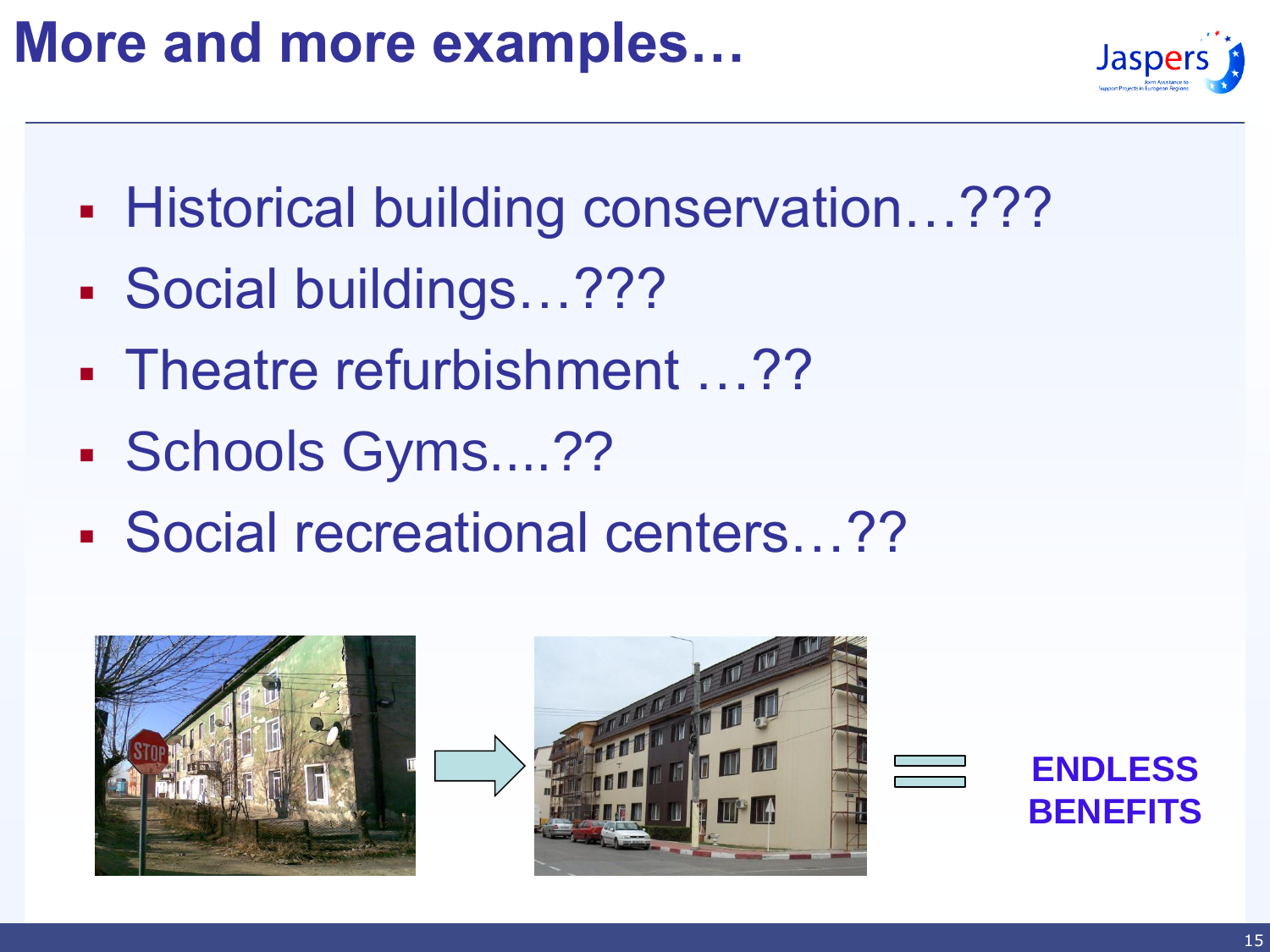# **More and more examples…**



- **Historical building conservation...???**
- Social buildings…???
- Theatre refurbishment …??
- Schools Gyms....??
- Social recreational centers…??



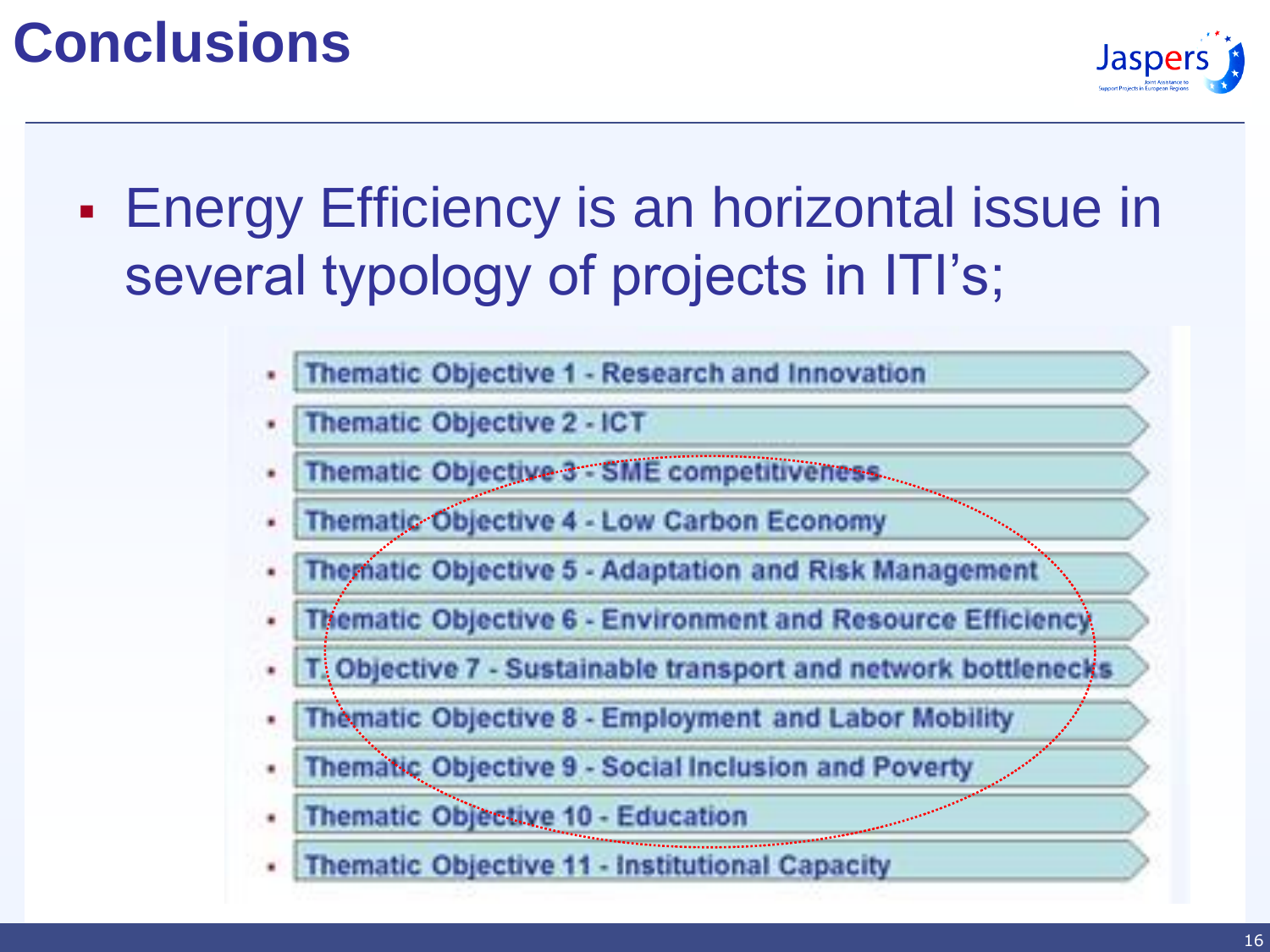# **Conclusions**



**Energy Efficiency is an horizontal issue in** several typology of projects in ITI's;

- Thematic Objective 1 Research and Innovation
- Thematic Objective 2 ICT
- Thematic Objective 3 SME competitiveness ٠
- Thematic Objective 4 Low Carbon Economy
- Thematic Objective 5 Adaptation and Risk Management
- **Thematic Objective 6 Environment and Resource Efficiency**
- T. Objective 7 Sustainable transport and network bottlenecks
- Thematic Objective 8 Employment and Labor Mobility
- Thematic Objective 9 Social Inclusion and Poverty
- Thematic Objective 10 Education
- **Thematic Objective 11 Institutional Capacity**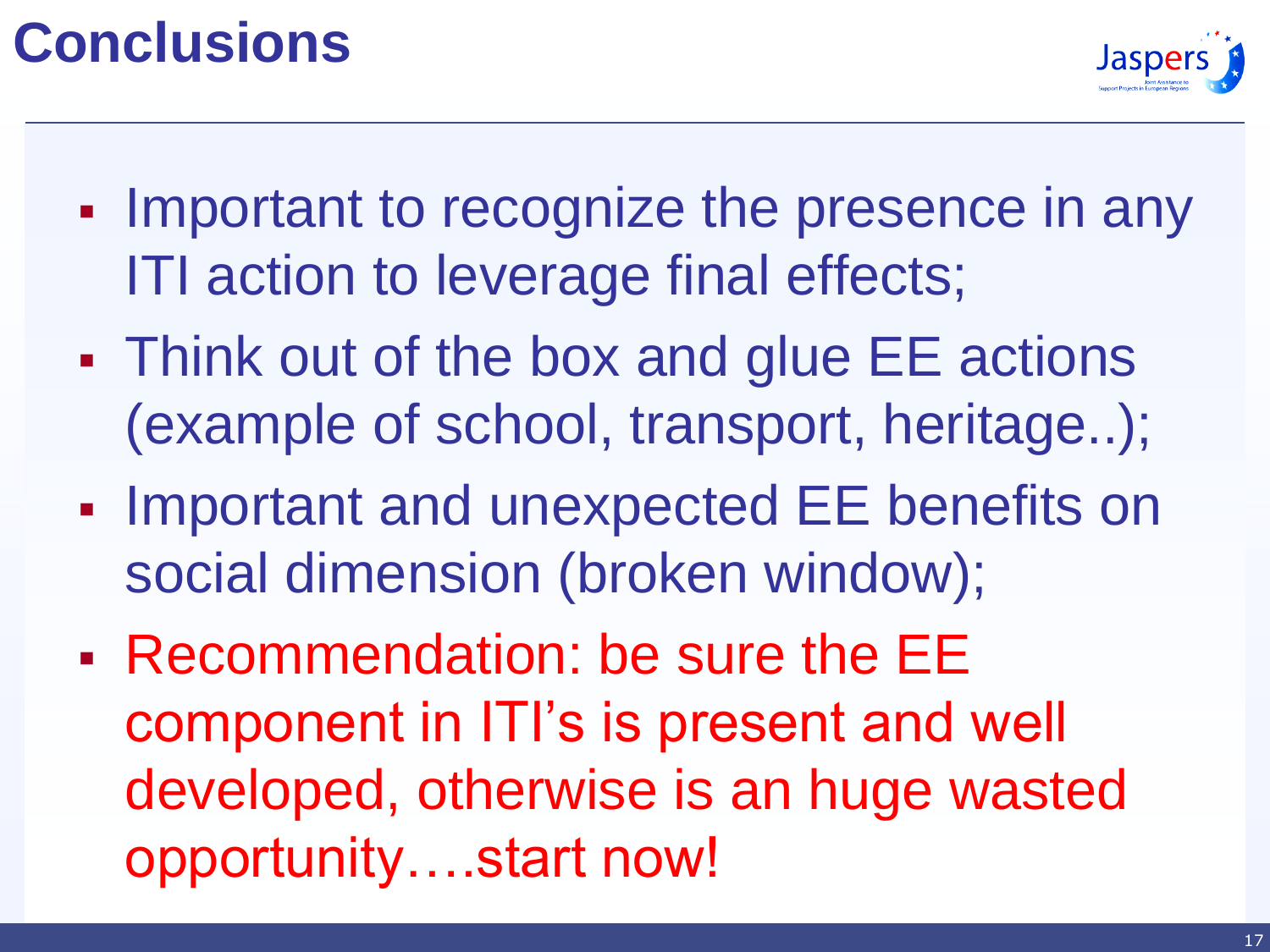# **Conclusions**



- Important to recognize the presence in any ITI action to leverage final effects;
- Think out of the box and glue EE actions (example of school, transport, heritage..);
- **Important and unexpected EE benefits on** social dimension (broken window);
- Recommendation: be sure the EE component in ITI's is present and well developed, otherwise is an huge wasted opportunity….start now!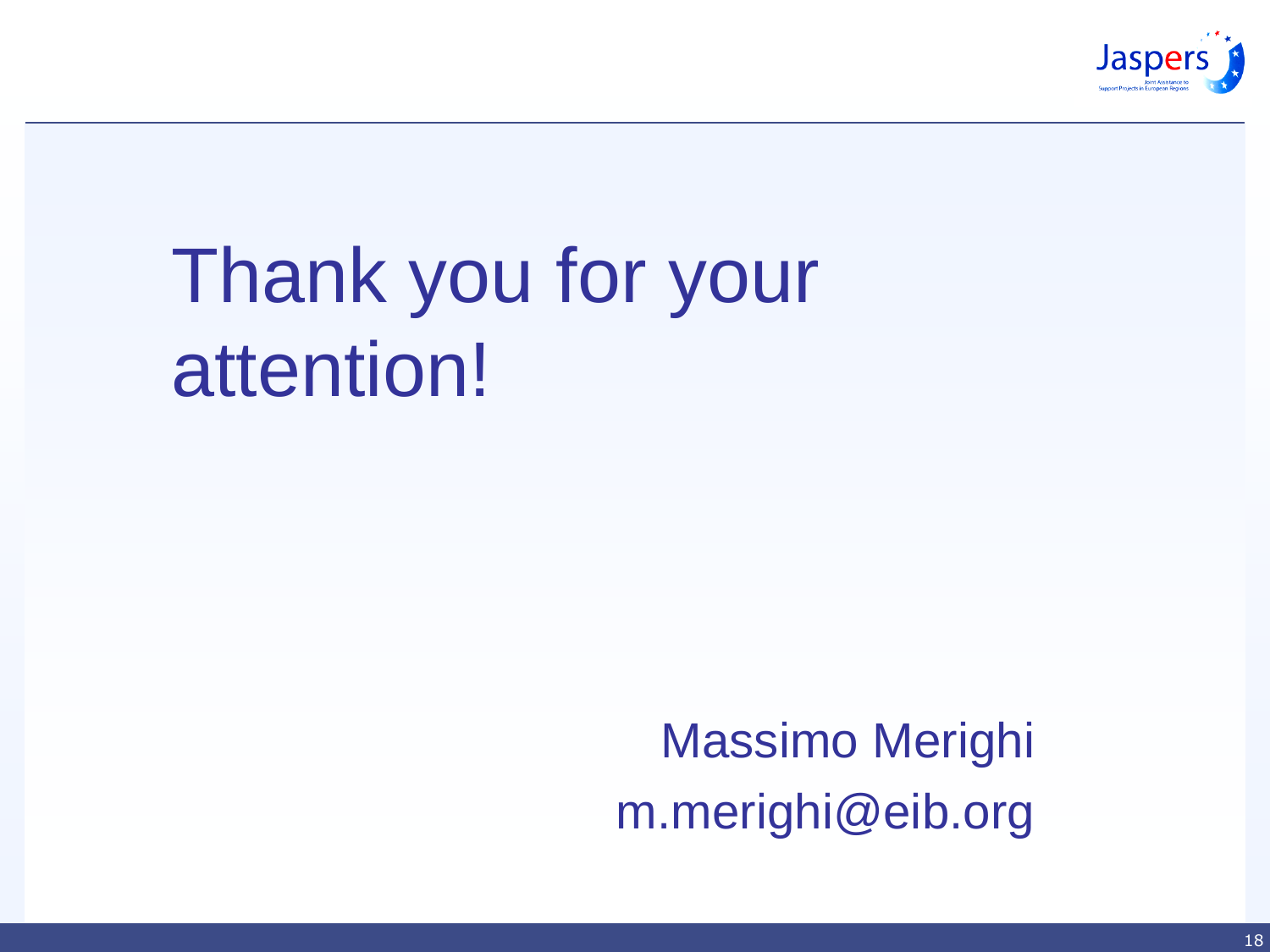

# Thank you for your attention!

Massimo Merighi m.merighi@eib.org